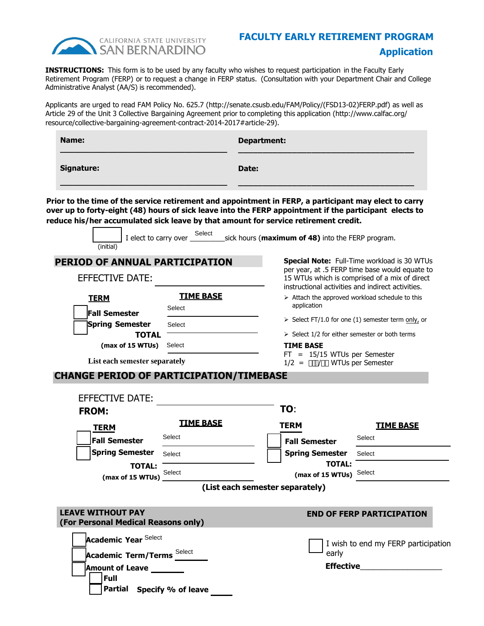

## **FACULTY EARLY RETIREMENT PROGRAM Application**

**INSTRUCTIONS:** This form is to be used by any faculty who wishes to request participation in the Faculty Early Retirement Program (FERP) or to request a change in FERP status. (Consultation with your Department Chair and College Administrative Analyst (AA/S) is recommended).

Applicants are urged to read FAM Policy No. 625.7 (http://senate.csusb.edu/FAM/Policy/(FSD13-02)FERP.pdf) as well as Article 29 of the Unit 3 Collective Bargaining Agreement prior to completing this application (http://www.calfac.org/ resource/collective-bargaining-agreement-contract-2014-2017#article-29).

| Name:      | <b>Department:</b> |  |
|------------|--------------------|--|
| Signature: | Date:              |  |
|            |                    |  |

**\_\_\_\_\_\_\_\_ over up to forty-eight (48) hours of sick leave into the FERP appointment if the participant elects to Prior to the time of the service retirement and appointment in FERP, a participant may elect to carry reduce his/her accumulated sick leave by that amount for service retirement credit.**

| (initial)                                                                                                                 | I elect to carry over <u>Select</u> sick hours ( <b>maximum of 48)</b> into the FERP program. |                                                                                                                                                                                                     |                                                    |
|---------------------------------------------------------------------------------------------------------------------------|-----------------------------------------------------------------------------------------------|-----------------------------------------------------------------------------------------------------------------------------------------------------------------------------------------------------|----------------------------------------------------|
| PERIOD OF ANNUAL PARTICIPATION<br><b>EFFECTIVE DATE:</b>                                                                  |                                                                                               | Special Note: Full-Time workload is 30 WTUs<br>per year, at .5 FERP time base would equate to<br>15 WTUs which is comprised of a mix of direct<br>instructional activities and indirect activities. |                                                    |
| <b>TERM</b><br><b>Fall Semester</b>                                                                                       | <b>TIME BASE</b><br>Select                                                                    | > Attach the approved workload schedule to this<br>application                                                                                                                                      |                                                    |
| Spring Semester<br><b>TOTAL</b>                                                                                           | Select                                                                                        | $\triangleright$ Select 1/2 for either semester or both terms                                                                                                                                       | > Select FT/1.0 for one (1) semester term only, or |
| (max of 15 WTUs)<br>List each semester separately                                                                         | Select                                                                                        | <b>TIME BASE</b><br>$FT = 15/15$ WTUs per Semester<br>$1/2 =$ +") /% WTUs per Semester                                                                                                              |                                                    |
| <b>CHANGE PERIOD OF PARTICIPATION/TIMEBASE</b><br><b>EFFECTIVE DATE:</b>                                                  |                                                                                               |                                                                                                                                                                                                     |                                                    |
| <b>FROM:</b>                                                                                                              |                                                                                               | TO:                                                                                                                                                                                                 |                                                    |
| <b>TERM</b><br><b>Fall Semester</b><br><b>Spring Semester</b><br>TOTAL:<br>(max of 15 WTUs)                               | <b>TIME BASE</b><br>Select<br>Select<br>Select                                                | <b>TERM</b><br><b>Fall Semester</b><br><b>Spring Semester</b><br><b>TOTAL:</b><br>(max of 15 WTUs) Select                                                                                           | <b>TIME BASE</b><br>Select<br>Select               |
|                                                                                                                           |                                                                                               | (List each semester separately)                                                                                                                                                                     |                                                    |
| <b>LEAVE WITHOUT PAY</b><br>(For Personal Medical Reasons only)                                                           |                                                                                               |                                                                                                                                                                                                     | <b>END OF FERP PARTICIPATION</b>                   |
| Academic Year Select<br><b>Academic Term/Terms</b> Select<br><b>Amount of Leave</b><br>Full<br>Partial Specify % of leave |                                                                                               | early                                                                                                                                                                                               | I wish to end my FERP participation                |